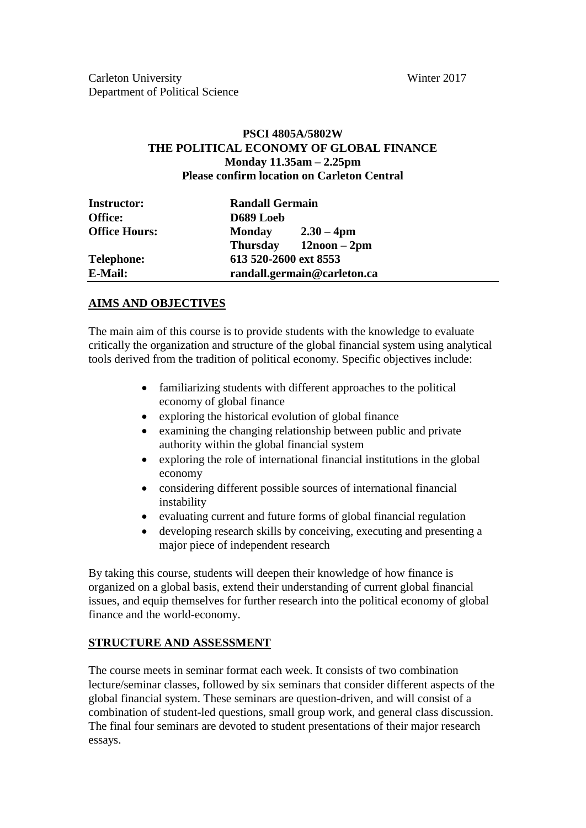## **PSCI 4805A/5802W THE POLITICAL ECONOMY OF GLOBAL FINANCE Monday 11.35am – 2.25pm Please confirm location on Carleton Central**

| <b>Instructor:</b><br><b>Office:</b> | <b>Randall Germain</b><br>D689 Loeb |                            |  |  |
|--------------------------------------|-------------------------------------|----------------------------|--|--|
| <b>Office Hours:</b>                 | Monday                              | $2.30 - 4 \text{pm}$       |  |  |
|                                      |                                     | Thursday $12$ noon $-2$ pm |  |  |
| <b>Telephone:</b>                    | 613 520-2600 ext 8553               |                            |  |  |
| E-Mail:                              | randall.germain@carleton.ca         |                            |  |  |

## **AIMS AND OBJECTIVES**

The main aim of this course is to provide students with the knowledge to evaluate critically the organization and structure of the global financial system using analytical tools derived from the tradition of political economy. Specific objectives include:

- familiarizing students with different approaches to the political economy of global finance
- exploring the historical evolution of global finance
- examining the changing relationship between public and private authority within the global financial system
- exploring the role of international financial institutions in the global economy
- considering different possible sources of international financial instability
- evaluating current and future forms of global financial regulation
- developing research skills by conceiving, executing and presenting a major piece of independent research

By taking this course, students will deepen their knowledge of how finance is organized on a global basis, extend their understanding of current global financial issues, and equip themselves for further research into the political economy of global finance and the world-economy.

# **STRUCTURE AND ASSESSMENT**

The course meets in seminar format each week. It consists of two combination lecture/seminar classes, followed by six seminars that consider different aspects of the global financial system. These seminars are question-driven, and will consist of a combination of student-led questions, small group work, and general class discussion. The final four seminars are devoted to student presentations of their major research essays.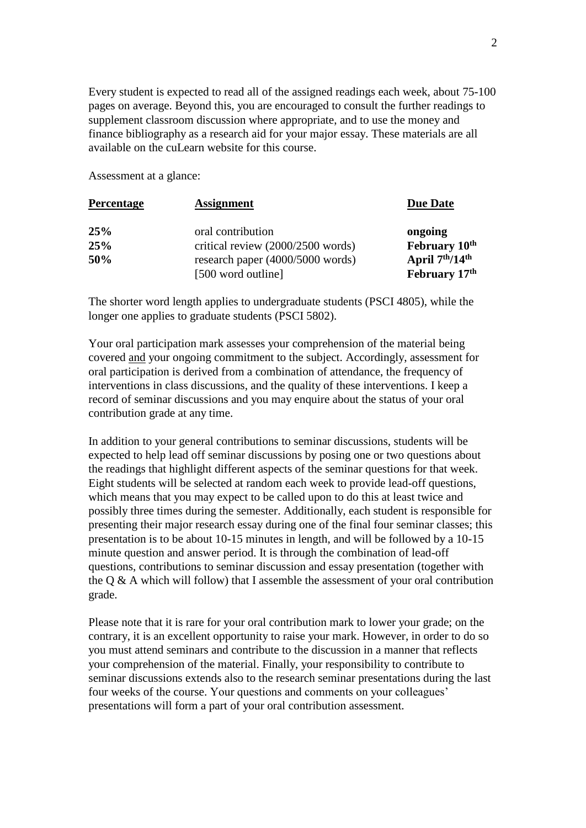Every student is expected to read all of the assigned readings each week, about 75-100 pages on average. Beyond this, you are encouraged to consult the further readings to supplement classroom discussion where appropriate, and to use the money and finance bibliography as a research aid for your major essay. These materials are all available on the cuLearn website for this course.

Assessment at a glance:

| <b>Percentage</b> | <b>Assignment</b>                 |                                         |  |
|-------------------|-----------------------------------|-----------------------------------------|--|
| 25%               | oral contribution                 | ongoing                                 |  |
| 25%               | critical review (2000/2500 words) | February 10 <sup>th</sup>               |  |
| 50%               | research paper (4000/5000 words)  | April 7 <sup>th</sup> /14 <sup>th</sup> |  |
|                   | [500 word outline]                | February 17th                           |  |

The shorter word length applies to undergraduate students (PSCI 4805), while the longer one applies to graduate students (PSCI 5802).

Your oral participation mark assesses your comprehension of the material being covered and your ongoing commitment to the subject. Accordingly, assessment for oral participation is derived from a combination of attendance, the frequency of interventions in class discussions, and the quality of these interventions. I keep a record of seminar discussions and you may enquire about the status of your oral contribution grade at any time.

In addition to your general contributions to seminar discussions, students will be expected to help lead off seminar discussions by posing one or two questions about the readings that highlight different aspects of the seminar questions for that week. Eight students will be selected at random each week to provide lead-off questions, which means that you may expect to be called upon to do this at least twice and possibly three times during the semester. Additionally, each student is responsible for presenting their major research essay during one of the final four seminar classes; this presentation is to be about 10-15 minutes in length, and will be followed by a 10-15 minute question and answer period. It is through the combination of lead-off questions, contributions to seminar discussion and essay presentation (together with the  $Q & A$  which will follow) that I assemble the assessment of your oral contribution grade.

Please note that it is rare for your oral contribution mark to lower your grade; on the contrary, it is an excellent opportunity to raise your mark. However, in order to do so you must attend seminars and contribute to the discussion in a manner that reflects your comprehension of the material. Finally, your responsibility to contribute to seminar discussions extends also to the research seminar presentations during the last four weeks of the course. Your questions and comments on your colleagues' presentations will form a part of your oral contribution assessment.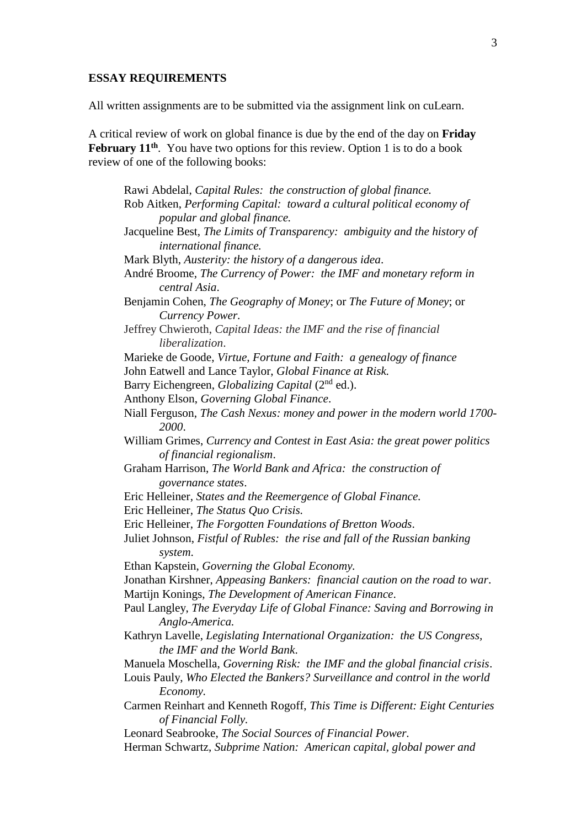#### **ESSAY REQUIREMENTS**

All written assignments are to be submitted via the assignment link on cuLearn.

A critical review of work on global finance is due by the end of the day on **Friday**  February 11<sup>th</sup>. You have two options for this review. Option 1 is to do a book review of one of the following books:

Rawi Abdelal, *Capital Rules: the construction of global finance.* Rob Aitken, *Performing Capital: toward a cultural political economy of popular and global finance.* Jacqueline Best, *The Limits of Transparency: ambiguity and the history of international finance.* Mark Blyth, *Austerity: the history of a dangerous idea*. André Broome, *The Currency of Power: the IMF and monetary reform in central Asia*. Benjamin Cohen, *The Geography of Money*; or *The Future of Money*; or *Currency Power.* Jeffrey Chwieroth, *Capital Ideas: the IMF and the rise of financial liberalization*. Marieke de Goode, *Virtue, Fortune and Faith: a genealogy of finance* John Eatwell and Lance Taylor, *Global Finance at Risk.* Barry Eichengreen, *Globalizing Capital* (2nd ed.). Anthony Elson, *Governing Global Finance*. Niall Ferguson, *The Cash Nexus: money and power in the modern world 1700- 2000*. William Grimes, *Currency and Contest in East Asia: the great power politics of financial regionalism*. Graham Harrison, *The World Bank and Africa: the construction of governance states*. Eric Helleiner, *States and the Reemergence of Global Finance.* Eric Helleiner, *The Status Quo Crisis.* Eric Helleiner, *The Forgotten Foundations of Bretton Woods*. Juliet Johnson, *Fistful of Rubles: the rise and fall of the Russian banking system*. Ethan Kapstein, *Governing the Global Economy.* Jonathan Kirshner, *Appeasing Bankers: financial caution on the road to war*. Martijn Konings, *The Development of American Finance*. Paul Langley, *The Everyday Life of Global Finance: Saving and Borrowing in Anglo-America.* Kathryn Lavelle, *Legislating International Organization: the US Congress, the IMF and the World Bank*. Manuela Moschella, *Governing Risk: the IMF and the global financial crisis*. Louis Pauly, *Who Elected the Bankers? Surveillance and control in the world Economy.* Carmen Reinhart and Kenneth Rogoff, *This Time is Different: Eight Centuries of Financial Folly.* Leonard Seabrooke, *The Social Sources of Financial Power.* Herman Schwartz, *Subprime Nation: American capital, global power and*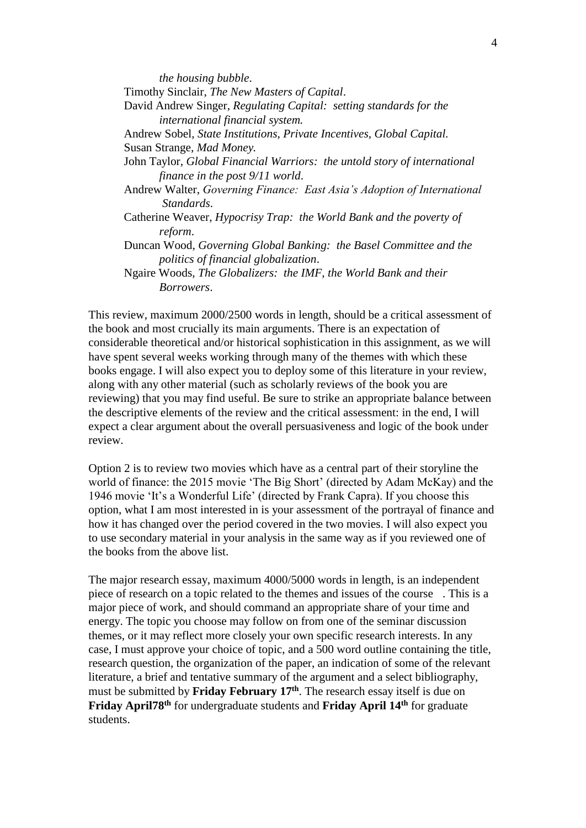*the housing bubble*. Timothy Sinclair, *The New Masters of Capital*. David Andrew Singer, *Regulating Capital: setting standards for the international financial system.* Andrew Sobel, *State Institutions, Private Incentives, Global Capital.* Susan Strange, *Mad Money.* John Taylor, *Global Financial Warriors: the untold story of international finance in the post 9/11 world*. Andrew Walter, *Governing Finance: East Asia's Adoption of International Standards*. Catherine Weaver, *Hypocrisy Trap: the World Bank and the poverty of reform*. Duncan Wood, *Governing Global Banking: the Basel Committee and the politics of financial globalization*. Ngaire Woods, *The Globalizers: the IMF, the World Bank and their Borrowers*.

This review, maximum 2000/2500 words in length, should be a critical assessment of the book and most crucially its main arguments. There is an expectation of considerable theoretical and/or historical sophistication in this assignment, as we will have spent several weeks working through many of the themes with which these books engage. I will also expect you to deploy some of this literature in your review, along with any other material (such as scholarly reviews of the book you are reviewing) that you may find useful. Be sure to strike an appropriate balance between the descriptive elements of the review and the critical assessment: in the end, I will expect a clear argument about the overall persuasiveness and logic of the book under review.

Option 2 is to review two movies which have as a central part of their storyline the world of finance: the 2015 movie 'The Big Short' (directed by Adam McKay) and the 1946 movie 'It's a Wonderful Life' (directed by Frank Capra). If you choose this option, what I am most interested in is your assessment of the portrayal of finance and how it has changed over the period covered in the two movies. I will also expect you to use secondary material in your analysis in the same way as if you reviewed one of the books from the above list.

The major research essay, maximum 4000/5000 words in length, is an independent piece of research on a topic related to the themes and issues of the course . This is a major piece of work, and should command an appropriate share of your time and energy. The topic you choose may follow on from one of the seminar discussion themes, or it may reflect more closely your own specific research interests. In any case, I must approve your choice of topic, and a 500 word outline containing the title, research question, the organization of the paper, an indication of some of the relevant literature, a brief and tentative summary of the argument and a select bibliography, must be submitted by **Friday February 17<sup>th</sup>**. The research essay itself is due on Friday April<sup>78th</sup> for undergraduate students and Friday April 14<sup>th</sup> for graduate students.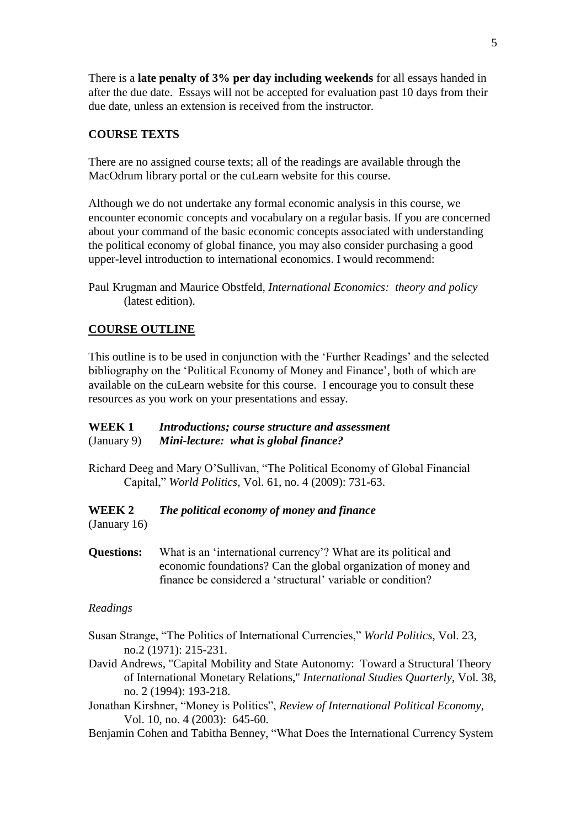There is a **late penalty of 3% per day including weekends** for all essays handed in after the due date. Essays will not be accepted for evaluation past 10 days from their due date, unless an extension is received from the instructor.

## **COURSE TEXTS**

There are no assigned course texts; all of the readings are available through the MacOdrum library portal or the cuLearn website for this course.

Although we do not undertake any formal economic analysis in this course, we encounter economic concepts and vocabulary on a regular basis. If you are concerned about your command of the basic economic concepts associated with understanding the political economy of global finance, you may also consider purchasing a good upper-level introduction to international economics. I would recommend:

## **COURSE OUTLINE**

This outline is to be used in conjunction with the 'Further Readings' and the selected bibliography on the 'Political Economy of Money and Finance', both of which are available on the cuLearn website for this course. I encourage you to consult these resources as you work on your presentations and essay.

## **WEEK 1** *Introductions; course structure and assessment* (January 9) *Mini-lecture: what is global finance?*

Richard Deeg and Mary O'Sullivan, "The Political Economy of Global Financial Capital," *World Politics*, Vol. 61, no. 4 (2009): 731-63.

# **WEEK 2** *The political economy of money and finance*

(January 16)

**Questions:** What is an 'international currency'? What are its political and economic foundations? Can the global organization of money and finance be considered a 'structural' variable or condition?

## *Readings*

- Susan Strange, "The Politics of International Currencies," *World Politics*, Vol. 23, no.2 (1971): 215-231.
- David Andrews, "Capital Mobility and State Autonomy: Toward a Structural Theory of International Monetary Relations," *International Studies Quarterly*, Vol. 38, no. 2 (1994): 193-218.
- Jonathan Kirshner, "Money is Politics", *Review of International Political Economy*, Vol. 10, no. 4 (2003): 645-60.
- Benjamin Cohen and Tabitha Benney, "What Does the International Currency System

Paul Krugman and Maurice Obstfeld, *International Economics: theory and policy* (latest edition).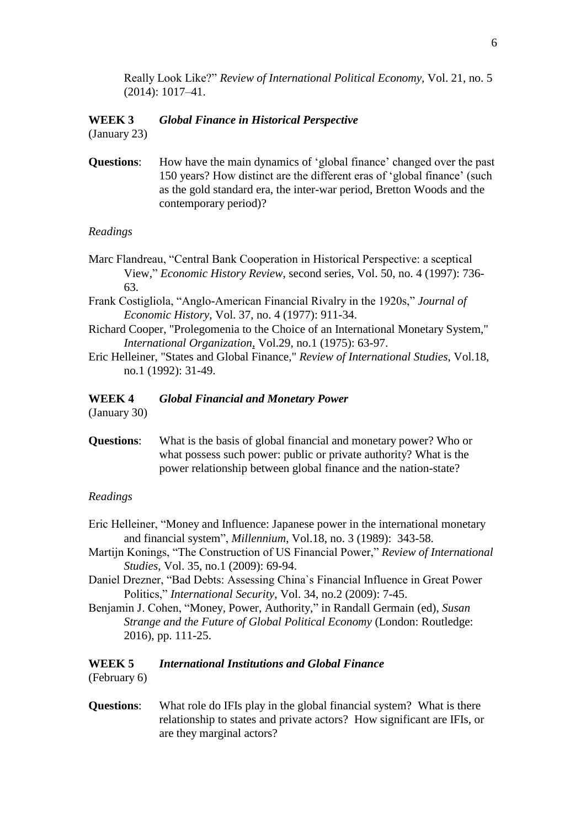Really Look Like?" *Review of International Political Economy,* Vol. 21, no. 5 (2014): 1017–41.

## **WEEK 3** *Global Finance in Historical Perspective* (January 23)

**Questions**: How have the main dynamics of 'global finance' changed over the past 150 years? How distinct are the different eras of 'global finance' (such as the gold standard era, the inter-war period, Bretton Woods and the contemporary period)?

## *Readings*

- Marc Flandreau, "Central Bank Cooperation in Historical Perspective: a sceptical View," *Economic History Review*, second series, Vol. 50, no. 4 (1997): 736- 63.
- Frank Costigliola, "Anglo-American Financial Rivalry in the 1920s," *Journal of Economic History*, Vol. 37, no. 4 (1977): 911-34.
- Richard Cooper, "Prolegomenia to the Choice of an International Monetary System," *International Organization*, Vol.29, no.1 (1975): 63-97.
- Eric Helleiner, "States and Global Finance," *Review of International Studies*, Vol.18, no.1 (1992): 31-49.

#### **WEEK 4** *Global Financial and Monetary Power*

(January 30)

**Questions**: What is the basis of global financial and monetary power? Who or what possess such power: public or private authority? What is the power relationship between global finance and the nation-state?

#### *Readings*

- Eric Helleiner, "Money and Influence: Japanese power in the international monetary and financial system", *Millennium*, Vol.18, no. 3 (1989): 343-58.
- Martijn Konings, "The Construction of US Financial Power," *Review of International Studies*, Vol. 35, no.1 (2009): 69-94.
- Daniel Drezner, "Bad Debts: Assessing China`s Financial Influence in Great Power Politics," *International Security*, Vol. 34, no.2 (2009): 7-45.
- Benjamin J. Cohen, "Money, Power, Authority," in Randall Germain (ed), *Susan Strange and the Future of Global Political Economy* (London: Routledge: 2016), pp. 111-25.

# **WEEK 5** *International Institutions and Global Finance*

(February 6)

**Questions**: What role do IFIs play in the global financial system? What is there relationship to states and private actors? How significant are IFIs, or are they marginal actors?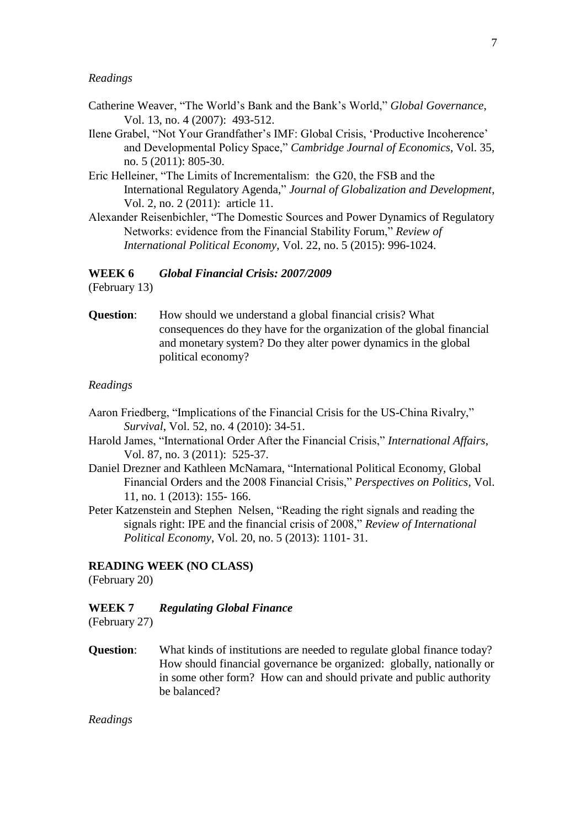#### *Readings*

- Catherine Weaver, "The World's Bank and the Bank's World," *Global Governance*, Vol. 13, no. 4 (2007): 493-512.
- Ilene Grabel, "Not Your Grandfather's IMF: Global Crisis, 'Productive Incoherence' and Developmental Policy Space," *Cambridge Journal of Economics*, Vol. 35, no. 5 (2011): 805-30.
- Eric Helleiner, "The Limits of Incrementalism: the G20, the FSB and the International Regulatory Agenda," *Journal of Globalization and Development*, Vol. 2, no. 2 (2011): article 11.
- Alexander Reisenbichler, "The Domestic Sources and Power Dynamics of Regulatory Networks: evidence from the Financial Stability Forum," *Review of International Political Economy*, Vol. 22, no. 5 (2015): 996-1024.

## **WEEK 6** *Global Financial Crisis: 2007/2009*

(February 13)

**Question:** How should we understand a global financial crisis? What consequences do they have for the organization of the global financial and monetary system? Do they alter power dynamics in the global political economy?

#### *Readings*

- Aaron Friedberg, "Implications of the Financial Crisis for the US-China Rivalry," *Survival*, Vol. 52, no. 4 (2010): 34-51.
- Harold James, "International Order After the Financial Crisis," *International Affairs*, Vol. 87, no. 3 (2011): 525-37.
- Daniel Drezner and Kathleen McNamara, "International Political Economy, Global Financial Orders and the 2008 Financial Crisis," *Perspectives on Politics*, Vol. 11, no. 1 (2013): 155- 166.
- Peter Katzenstein and Stephen Nelsen, "Reading the right signals and reading the signals right: IPE and the financial crisis of 2008," *Review of International Political Economy*, Vol. 20, no. 5 (2013): 1101- 31.

#### **READING WEEK (NO CLASS)**

(February 20)

## **WEEK 7** *Regulating Global Finance*

(February 27)

**Question**: What kinds of institutions are needed to regulate global finance today? How should financial governance be organized: globally, nationally or in some other form? How can and should private and public authority be balanced?

*Readings*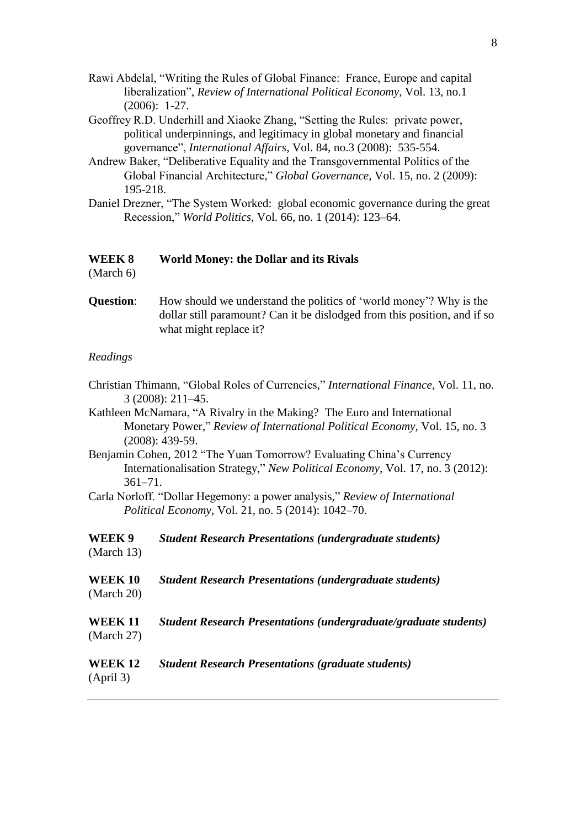- Rawi Abdelal, "Writing the Rules of Global Finance: France, Europe and capital liberalization", *Review of International Political Economy*, Vol. 13, no.1 (2006): 1-27.
- Geoffrey R.D. Underhill and Xiaoke Zhang, "Setting the Rules: private power, political underpinnings, and legitimacy in global monetary and financial governance", *International Affairs*, Vol. 84, no.3 (2008): 535-554.
- Andrew Baker, "Deliberative Equality and the Transgovernmental Politics of the Global Financial Architecture," *Global Governance*, Vol. 15, no. 2 (2009): 195-218.
- Daniel Drezner, "The System Worked: global economic governance during the great Recession," *World Politics*, Vol. 66, no. 1 (2014): 123–64.

#### **WEEK 8 World Money: the Dollar and its Rivals**

(March 6)

**Question:** How should we understand the politics of 'world money'? Why is the dollar still paramount? Can it be dislodged from this position, and if so what might replace it?

#### *Readings*

- Christian Thimann, "Global Roles of Currencies," *International Finance*, Vol. 11, no. 3 (2008): 211–45.
- Kathleen McNamara, "A Rivalry in the Making? The Euro and International Monetary Power," *Review of International Political Economy*, Vol. 15, no. 3 (2008): 439-59.
- Benjamin Cohen, 2012 "The Yuan Tomorrow? Evaluating China's Currency Internationalisation Strategy," *New Political Economy*, Vol. 17, no. 3 (2012): 361–71.
- Carla Norloff. "Dollar Hegemony: a power analysis," *Review of International Political Economy*, Vol. 21, no. 5 (2014): 1042–70.
- **WEEK 9** *Student Research Presentations (undergraduate students)* (March 13) **WEEK 10** *Student Research Presentations (undergraduate students)* (March 20) **WEEK 11** *Student Research Presentations (undergraduate/graduate students)* (March 27) **WEEK 12** *Student Research Presentations (graduate students)* (April 3)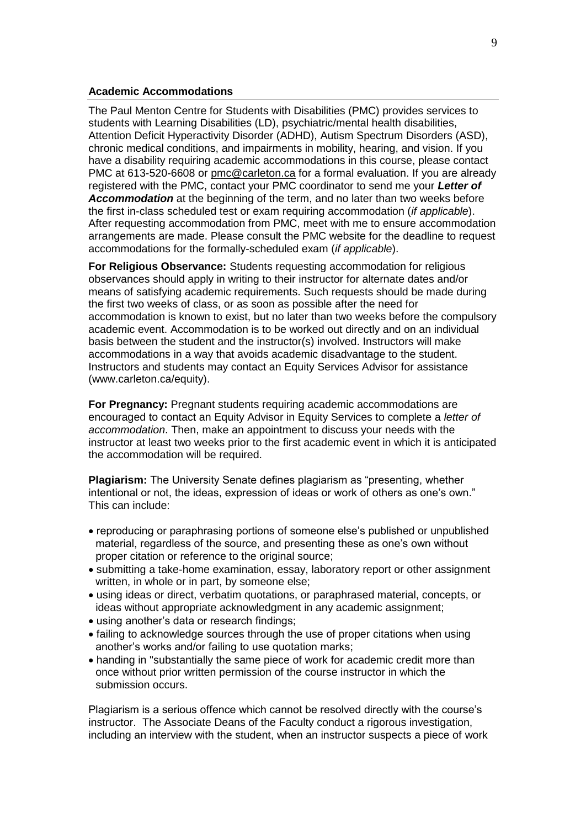#### **Academic Accommodations**

The Paul Menton Centre for Students with Disabilities (PMC) provides services to students with Learning Disabilities (LD), psychiatric/mental health disabilities, Attention Deficit Hyperactivity Disorder (ADHD), Autism Spectrum Disorders (ASD), chronic medical conditions, and impairments in mobility, hearing, and vision. If you have a disability requiring academic accommodations in this course, please contact PMC at 613-520-6608 or [pmc@carleton.ca](mailto:pmc@carleton.ca) for a formal evaluation. If you are already registered with the PMC, contact your PMC coordinator to send me your *Letter of Accommodation* at the beginning of the term, and no later than two weeks before the first in-class scheduled test or exam requiring accommodation (*if applicable*). After requesting accommodation from PMC, meet with me to ensure accommodation arrangements are made. Please consult the PMC website for the deadline to request accommodations for the formally-scheduled exam (*if applicable*).

**For Religious Observance:** Students requesting accommodation for religious observances should apply in writing to their instructor for alternate dates and/or means of satisfying academic requirements. Such requests should be made during the first two weeks of class, or as soon as possible after the need for accommodation is known to exist, but no later than two weeks before the compulsory academic event. Accommodation is to be worked out directly and on an individual basis between the student and the instructor(s) involved. Instructors will make accommodations in a way that avoids academic disadvantage to the student. Instructors and students may contact an Equity Services Advisor for assistance (www.carleton.ca/equity).

**For Pregnancy:** Pregnant students requiring academic accommodations are encouraged to contact an Equity Advisor in Equity Services to complete a *letter of accommodation*. Then, make an appointment to discuss your needs with the instructor at least two weeks prior to the first academic event in which it is anticipated the accommodation will be required.

**Plagiarism:** The University Senate defines plagiarism as "presenting, whether intentional or not, the ideas, expression of ideas or work of others as one's own." This can include:

- reproducing or paraphrasing portions of someone else's published or unpublished material, regardless of the source, and presenting these as one's own without proper citation or reference to the original source;
- submitting a take-home examination, essay, laboratory report or other assignment written, in whole or in part, by someone else;
- using ideas or direct, verbatim quotations, or paraphrased material, concepts, or ideas without appropriate acknowledgment in any academic assignment;
- using another's data or research findings:
- failing to acknowledge sources through the use of proper citations when using another's works and/or failing to use quotation marks;
- handing in "substantially the same piece of work for academic credit more than once without prior written permission of the course instructor in which the submission occurs.

Plagiarism is a serious offence which cannot be resolved directly with the course's instructor. The Associate Deans of the Faculty conduct a rigorous investigation, including an interview with the student, when an instructor suspects a piece of work